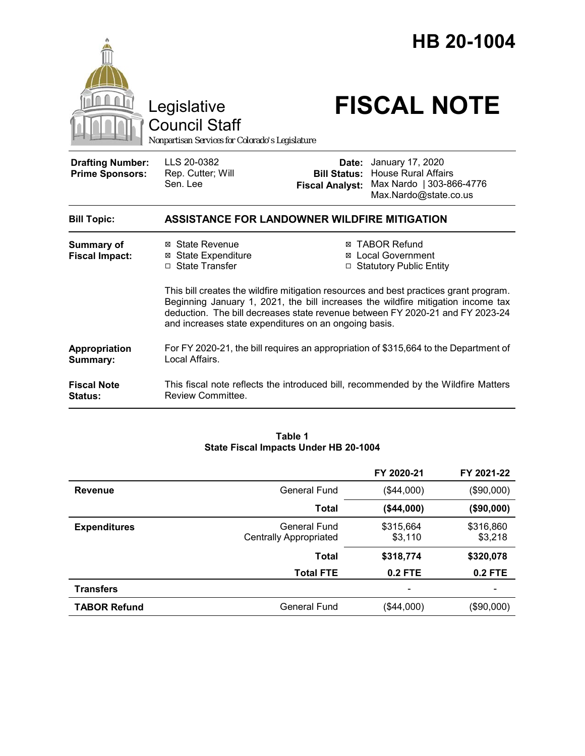



Council Staff

# Legislative **FISCAL NOTE**

| <b>Drafting Number:</b><br><b>Prime Sponsors:</b> | LLS 20-0382<br>Rep. Cutter; Will<br>Sen. Lee                                                                                            | Date:<br><b>Bill Status:</b><br><b>Fiscal Analyst:</b> | January 17, 2020<br><b>House Rural Affairs</b><br>Max Nardo   303-866-4776<br>Max.Nardo@state.co.us                                                                                                                                                                                                                             |
|---------------------------------------------------|-----------------------------------------------------------------------------------------------------------------------------------------|--------------------------------------------------------|---------------------------------------------------------------------------------------------------------------------------------------------------------------------------------------------------------------------------------------------------------------------------------------------------------------------------------|
| <b>Bill Topic:</b>                                | <b>ASSISTANCE FOR LANDOWNER WILDFIRE MITIGATION</b>                                                                                     |                                                        |                                                                                                                                                                                                                                                                                                                                 |
| <b>Summary of</b><br><b>Fiscal Impact:</b>        | ⊠ State Revenue<br><b>State Expenditure</b><br>$\boxtimes$<br>□ State Transfer<br>and increases state expenditures on an ongoing basis. |                                                        | ⊠ TABOR Refund<br>⊠ Local Government<br>□ Statutory Public Entity<br>This bill creates the wildfire mitigation resources and best practices grant program.<br>Beginning January 1, 2021, the bill increases the wildfire mitigation income tax<br>deduction. The bill decreases state revenue between FY 2020-21 and FY 2023-24 |
| Appropriation<br>Summary:                         | For FY 2020-21, the bill requires an appropriation of \$315,664 to the Department of<br>Local Affairs.                                  |                                                        |                                                                                                                                                                                                                                                                                                                                 |
| <b>Fiscal Note</b><br>Status:                     | This fiscal note reflects the introduced bill, recommended by the Wildfire Matters<br>Review Committee.                                 |                                                        |                                                                                                                                                                                                                                                                                                                                 |

#### **Table 1 State Fiscal Impacts Under HB 20-1004**

|                     |                                               | FY 2020-21           | FY 2021-22           |
|---------------------|-----------------------------------------------|----------------------|----------------------|
| <b>Revenue</b>      | General Fund                                  | (\$44,000)           | (\$90,000)           |
|                     | <b>Total</b>                                  | (\$44,000)           | (\$90,000)           |
| <b>Expenditures</b> | General Fund<br><b>Centrally Appropriated</b> | \$315,664<br>\$3,110 | \$316,860<br>\$3,218 |
|                     | Total                                         | \$318,774            | \$320,078            |
|                     | <b>Total FTE</b>                              | 0.2 FTE              | $0.2$ FTE            |
| <b>Transfers</b>    |                                               |                      |                      |
| <b>TABOR Refund</b> | General Fund                                  | (\$44,000)           | (\$90,000)           |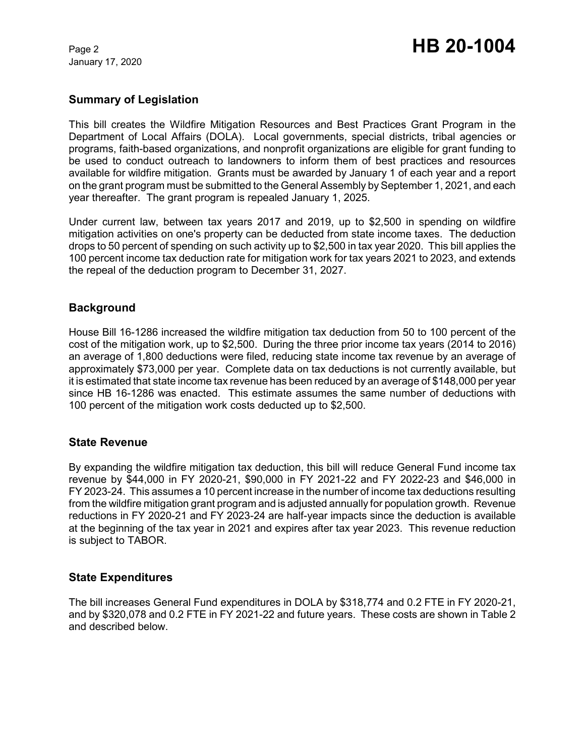January 17, 2020

# Page 2 **HB 20-1004**

# **Summary of Legislation**

This bill creates the Wildfire Mitigation Resources and Best Practices Grant Program in the Department of Local Affairs (DOLA). Local governments, special districts, tribal agencies or programs, faith-based organizations, and nonprofit organizations are eligible for grant funding to be used to conduct outreach to landowners to inform them of best practices and resources available for wildfire mitigation. Grants must be awarded by January 1 of each year and a report on the grant program must be submitted to the General Assembly by September 1, 2021, and each year thereafter. The grant program is repealed January 1, 2025.

Under current law, between tax years 2017 and 2019, up to \$2,500 in spending on wildfire mitigation activities on one's property can be deducted from state income taxes. The deduction drops to 50 percent of spending on such activity up to \$2,500 in tax year 2020. This bill applies the 100 percent income tax deduction rate for mitigation work for tax years 2021 to 2023, and extends the repeal of the deduction program to December 31, 2027.

## **Background**

House Bill 16-1286 increased the wildfire mitigation tax deduction from 50 to 100 percent of the cost of the mitigation work, up to \$2,500. During the three prior income tax years (2014 to 2016) an average of 1,800 deductions were filed, reducing state income tax revenue by an average of approximately \$73,000 per year. Complete data on tax deductions is not currently available, but it is estimated that state income tax revenue has been reduced by an average of \$148,000 per year since HB 16-1286 was enacted. This estimate assumes the same number of deductions with 100 percent of the mitigation work costs deducted up to \$2,500.

#### **State Revenue**

By expanding the wildfire mitigation tax deduction, this bill will reduce General Fund income tax revenue by \$44,000 in FY 2020-21, \$90,000 in FY 2021-22 and FY 2022-23 and \$46,000 in FY 2023-24. This assumes a 10 percent increase in the number of income tax deductions resulting from the wildfire mitigation grant program and is adjusted annually for population growth. Revenue reductions in FY 2020-21 and FY 2023-24 are half-year impacts since the deduction is available at the beginning of the tax year in 2021 and expires after tax year 2023. This revenue reduction is subject to TABOR.

#### **State Expenditures**

The bill increases General Fund expenditures in DOLA by \$318,774 and 0.2 FTE in FY 2020-21, and by \$320,078 and 0.2 FTE in FY 2021-22 and future years. These costs are shown in Table 2 and described below.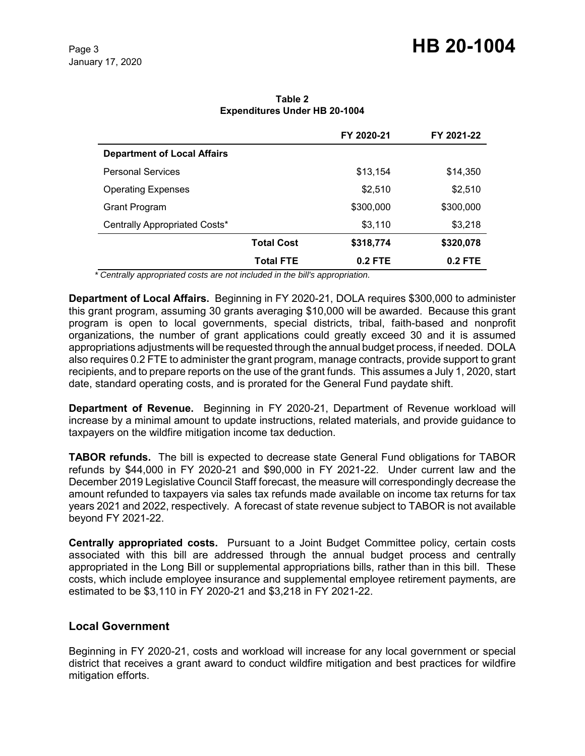|                                    |                   | FY 2020-21 | FY 2021-22 |
|------------------------------------|-------------------|------------|------------|
| <b>Department of Local Affairs</b> |                   |            |            |
| <b>Personal Services</b>           |                   | \$13,154   | \$14,350   |
| <b>Operating Expenses</b>          |                   | \$2,510    | \$2,510    |
| Grant Program                      |                   | \$300,000  | \$300,000  |
| Centrally Appropriated Costs*      |                   | \$3,110    | \$3,218    |
|                                    | <b>Total Cost</b> | \$318,774  | \$320,078  |
|                                    | <b>Total FTE</b>  | $0.2$ FTE  | $0.2$ FTE  |

**Table 2 Expenditures Under HB 20-1004**

 *\* Centrally appropriated costs are not included in the bill's appropriation.*

**Department of Local Affairs.** Beginning in FY 2020-21, DOLA requires \$300,000 to administer this grant program, assuming 30 grants averaging \$10,000 will be awarded. Because this grant program is open to local governments, special districts, tribal, faith-based and nonprofit organizations, the number of grant applications could greatly exceed 30 and it is assumed appropriations adjustments will be requested through the annual budget process, if needed. DOLA also requires 0.2 FTE to administer the grant program, manage contracts, provide support to grant recipients, and to prepare reports on the use of the grant funds. This assumes a July 1, 2020, start date, standard operating costs, and is prorated for the General Fund paydate shift.

**Department of Revenue.** Beginning in FY 2020-21, Department of Revenue workload will increase by a minimal amount to update instructions, related materials, and provide guidance to taxpayers on the wildfire mitigation income tax deduction.

**TABOR refunds.** The bill is expected to decrease state General Fund obligations for TABOR refunds by \$44,000 in FY 2020-21 and \$90,000 in FY 2021-22. Under current law and the December 2019 Legislative Council Staff forecast, the measure will correspondingly decrease the amount refunded to taxpayers via sales tax refunds made available on income tax returns for tax years 2021 and 2022, respectively. A forecast of state revenue subject to TABOR is not available beyond FY 2021-22.

**Centrally appropriated costs.** Pursuant to a Joint Budget Committee policy, certain costs associated with this bill are addressed through the annual budget process and centrally appropriated in the Long Bill or supplemental appropriations bills, rather than in this bill. These costs, which include employee insurance and supplemental employee retirement payments, are estimated to be \$3,110 in FY 2020-21 and \$3,218 in FY 2021-22.

#### **Local Government**

Beginning in FY 2020-21, costs and workload will increase for any local government or special district that receives a grant award to conduct wildfire mitigation and best practices for wildfire mitigation efforts.